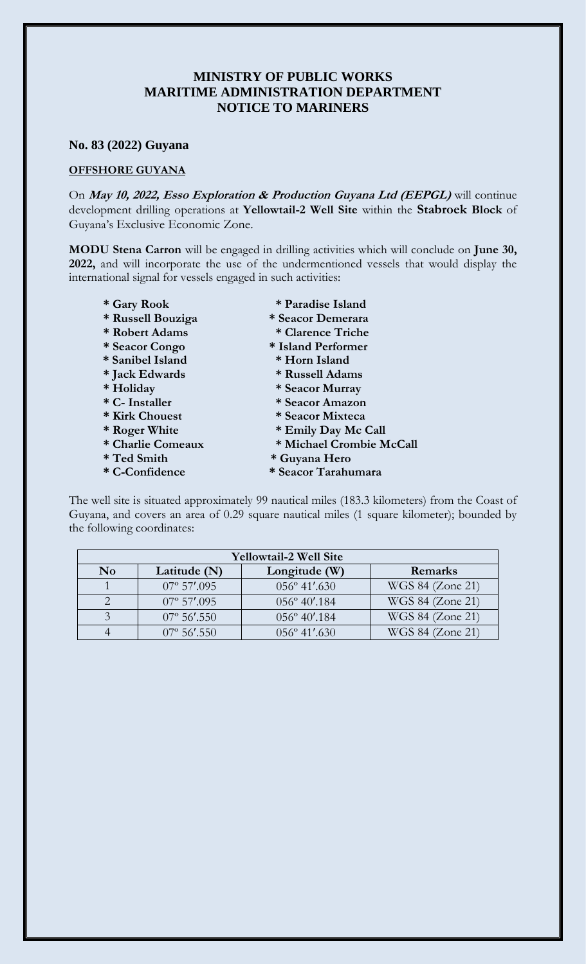## **MINISTRY OF PUBLIC WORKS MARITIME ADMINISTRATION DEPARTMENT NOTICE TO MARINERS**

## **No. 83 (2022) Guyana**

## **OFFSHORE GUYANA**

On **May 10, 2022, Esso Exploration & Production Guyana Ltd (EEPGL)** will continue development drilling operations at **Yellowtail-2 Well Site** within the **Stabroek Block** of Guyana's Exclusive Economic Zone.

**MODU Stena Carron** will be engaged in drilling activities which will conclude on **June 30, 2022,** and will incorporate the use of the undermentioned vessels that would display the international signal for vessels engaged in such activities:

- **\* Gary Rook \* Paradise Island \* Russell Bouziga \* Seacor Demerara**
- **\* Robert Adams \* Clarence Triche**
- 
- 
- 
- 
- 
- 
- 
- 
- 
- 
- 
- 
- 
- **\* Seacor Congo \* Island Performer**
- **\* Sanibel Island \* Horn Island**
- **\* Jack Edwards \* Russell Adams**
- **\* Holiday \* Seacor Murray**
- **\* C- Installer \* Seacor Amazon**
- **\* Kirk Chouest \* Seacor Mixteca**
- **\* Roger White \* Emily Day Mc Call**
- **\* Charlie Comeaux \* Michael Crombie McCall**
- **\* Ted Smith \* Guyana Hero**
- **\* C-Confidence \* Seacor Tarahumara**

The well site is situated approximately 99 nautical miles (183.3 kilometers) from the Coast of Guyana, and covers an area of 0.29 square nautical miles (1 square kilometer); bounded by the following coordinates:

| <b>Yellowtail-2 Well Site</b> |                      |                        |                  |
|-------------------------------|----------------------|------------------------|------------------|
| N <sub>0</sub>                | Latitude (N)         | Longitude (W)          | Remarks          |
|                               | $07^{\circ}$ 57'.095 | $056^{\circ}$ 41'.630  | WGS 84 (Zone 21) |
|                               | $07^{\circ}$ 57'.095 | $056^{\circ} 40'$ .184 | WGS 84 (Zone 21) |
|                               | $07^{\circ}$ 56'.550 | $056^{\circ}$ 40'.184  | WGS 84 (Zone 21) |
|                               | $07^{\circ}$ 56'.550 | $0.56^{\circ}$ 41'.630 | WGS 84 (Zone 21) |